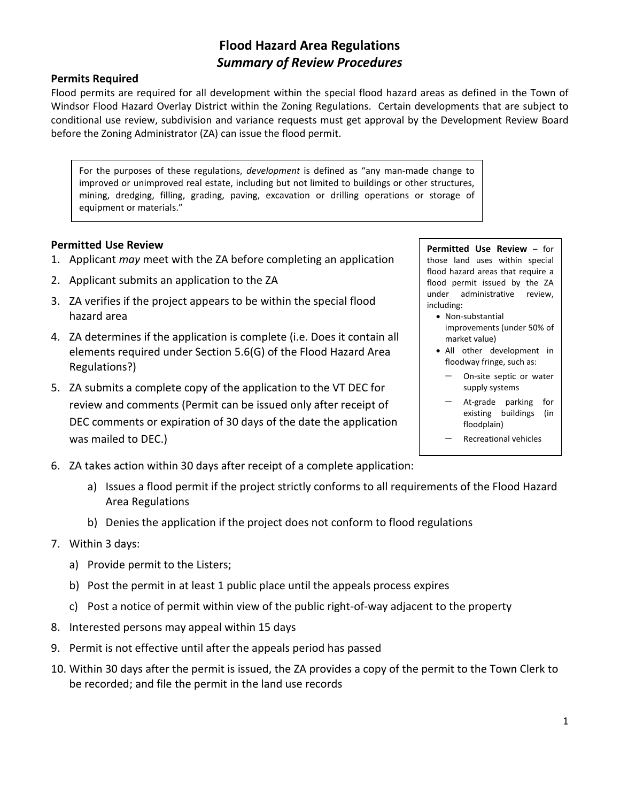## **Flood Hazard Area Regulations** *Summary of Review Procedures*

#### **Permits Required**

Flood permits are required for all development within the special flood hazard areas as defined in the Town of Windsor Flood Hazard Overlay District within the Zoning Regulations. Certain developments that are subject to conditional use review, subdivision and variance requests must get approval by the Development Review Board before the Zoning Administrator (ZA) can issue the flood permit.

For the purposes of these regulations, *development* is defined as "any man-made change to improved or unimproved real estate, including but not limited to buildings or other structures, mining, dredging, filling, grading, paving, excavation or drilling operations or storage of equipment or materials."

#### **Permitted Use Review**

- 1. Applicant *may* meet with the ZA before completing an application
- 2. Applicant submits an application to the ZA
- 3. ZA verifies if the project appears to be within the special flood hazard area
- 4. ZA determines if the application is complete (i.e. Does it contain all elements required under Section 5.6(G) of the Flood Hazard Area Regulations?)
- 5. ZA submits a complete copy of the application to the VT DEC for review and comments (Permit can be issued only after receipt of DEC comments or expiration of 30 days of the date the application was mailed to DEC.)

**Permitted Use Review** – for those land uses within special flood hazard areas that require a flood permit issued by the ZA under administrative review, including:

- Non-substantial improvements (under 50% of market value)
- All other development in floodway fringe, such as:
	- On-site septic or water supply systems
	- − At-grade parking for existing buildings (in floodplain)
	- − Recreational vehicles
- 6. ZA takes action within 30 days after receipt of a complete application:
	- a) Issues a flood permit if the project strictly conforms to all requirements of the Flood Hazard Area Regulations
	- b) Denies the application if the project does not conform to flood regulations
- 7. Within 3 days:
	- a) Provide permit to the Listers;
	- b) Post the permit in at least 1 public place until the appeals process expires
	- c) Post a notice of permit within view of the public right-of-way adjacent to the property
- 8. Interested persons may appeal within 15 days
- 9. Permit is not effective until after the appeals period has passed
- 10. Within 30 days after the permit is issued, the ZA provides a copy of the permit to the Town Clerk to be recorded; and file the permit in the land use records